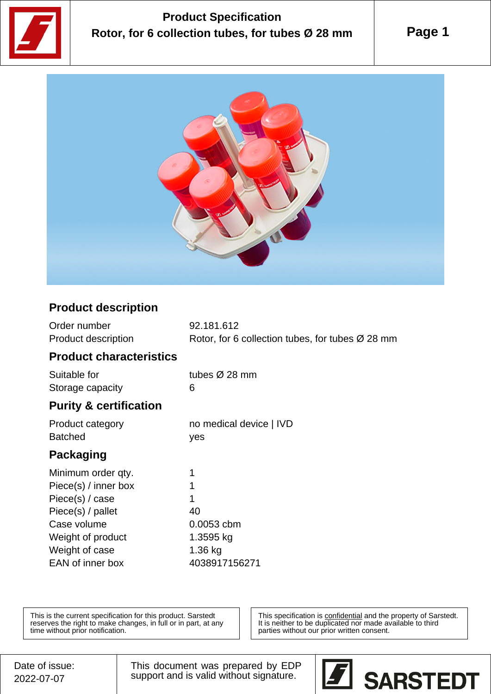

## **Product Specification Rotor, for 6 collection tubes, for tubes Ø 28 mm**

**Page 1**



## **Product description**

| Order number                      | 92.181.612                                                   |
|-----------------------------------|--------------------------------------------------------------|
| <b>Product description</b>        | Rotor, for 6 collection tubes, for tubes $\varnothing$ 28 mm |
| <b>Product characteristics</b>    |                                                              |
| Suitable for                      | tubes $\varnothing$ 28 mm                                    |
| Storage capacity                  | 6                                                            |
| <b>Purity &amp; certification</b> |                                                              |
| Product category                  | no medical device   IVD                                      |
| <b>Batched</b>                    | yes                                                          |
|                                   |                                                              |
| Packaging                         |                                                              |
| Minimum order qty.                | 1                                                            |
| Piece(s) / inner box              | 1                                                            |
| Piece(s) $/$ case                 | 1                                                            |
| Piece(s) / pallet                 | 40                                                           |
| Case volume                       | 0.0053 cbm                                                   |
| Weight of product                 | 1.3595 kg                                                    |
| Weight of case                    | 1.36 kg                                                      |

This is the current specification for this product. Sarstedt reserves the right to make changes, in full or in part, at any time without prior notification.

This specification is **confidential** and the property of Sarstedt. It is neither to be duplicated nor made available to third parties without our prior written consent.